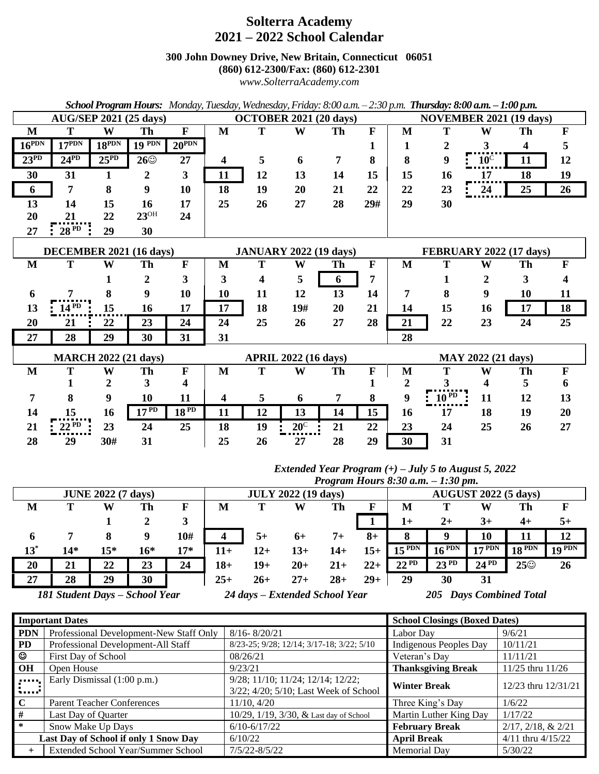# **Solterra Academy 2021 – 2022 School Calendar**

**300 John Downey Drive, New Britain, Connecticut 06051**

**(860) 612-2300/Fax: (860) 612-2301**

*www.SolterraAcademy.com*

| School Program Hours: Monday, Tuesday, Wednesday, Friday: 8:00 a.m. – 2:30 p.m. Thursday: 8:00 a.m. – 1:00 p.m. |                   |            |               |                               |                               |    |              |                                |                                |             |             |                |    |              |
|-----------------------------------------------------------------------------------------------------------------|-------------------|------------|---------------|-------------------------------|-------------------------------|----|--------------|--------------------------------|--------------------------------|-------------|-------------|----------------|----|--------------|
| <b>AUG/SEP 2021 (25 days)</b>                                                                                   |                   |            |               | <b>OCTOBER 2021 (20 days)</b> |                               |    |              | <b>NOVEMBER 2021 (19 days)</b> |                                |             |             |                |    |              |
| M                                                                                                               | T                 | W          | Th            | $\mathbf F$                   | $\mathbf{M}$                  | T  | W            | Th                             | $\mathbf{F}$                   | M           | T           | W              | Th | $\mathbf{F}$ |
| $16^{PDN}$                                                                                                      | $17^{PDN}$        | $18^{PDN}$ | $19$ PDN      | $20^{\text{PDN}}$             |                               |    |              |                                | 1                              | 1           | 2           | 3              | 4  | 5            |
| $23^{PD}$                                                                                                       | $24^{PD}$         | $25^{PD}$  | $26\odot$     | 27                            | $\overline{\mathbf{4}}$       | 5  | 6            | $\overline{7}$                 | 8                              | 8           | 9           | $10^{\circ}$   | 11 | 12           |
| 30                                                                                                              | 31                | 1          | 2             | 3                             | 11                            | 12 | 13           | 14                             | 15                             | 15          | 16          | 17             | 18 | 19           |
| 6                                                                                                               | 7                 | 8          | 9             | 10                            | 18                            | 19 | 20           | 21                             | 22                             | 22          | 23          | 24             | 25 | 26           |
| 13                                                                                                              | 14                | 15         | 16            | 17                            | 25                            | 26 | 27           | 28                             | 29#                            | 29          | 30          |                |    |              |
| 20                                                                                                              | 21                | 22         | $23^{\rm OH}$ | 24                            |                               |    |              |                                |                                |             |             |                |    |              |
| 27                                                                                                              | $\frac{28}{9}$ PD | 29         | 30            |                               |                               |    |              |                                |                                |             |             |                |    |              |
| DECEMBER 2021 (16 days)                                                                                         |                   |            |               |                               | <b>JANUARY 2022 (19 days)</b> |    |              |                                | <b>FEBRUARY 2022 (17 days)</b> |             |             |                |    |              |
| $\mathbf{M}$                                                                                                    | T                 | W          | Th            | $\mathbf{F}$                  | M                             | T  | W            | Th                             | $\mathbf F$                    | $\mathbf M$ | T           | W              | Th | $\mathbf F$  |
|                                                                                                                 |                   | 1          | 2             | 3                             | 3                             | 4  | 5            | 6                              | 7                              |             | 1           | $\overline{2}$ | 3  | 4            |
| 6                                                                                                               |                   | 8          | 9             | 10                            | 10                            | 11 | 12           | 13                             | 14                             | 7           | 8           | 9              | 10 | 11           |
| 13                                                                                                              | $14^{PD}$         | 15         | 16            | 17                            | 17                            | 18 | 19#          | 20                             | 21                             | 14          | 15          | 16             | 17 | 18           |
| 20                                                                                                              | 21                | 22         | 23            | 24                            | 24                            | 25 | 26           | 27                             | 28                             | 21          | 22          | 23             | 24 | 25           |
| 27                                                                                                              | 28                | 29         | 30            | 31                            | 31                            |    |              |                                |                                | 28          |             |                |    |              |
| <b>MARCH 2022 (21 days)</b>                                                                                     |                   |            |               |                               | <b>APRIL 2022 (16 days)</b>   |    |              |                                | MAY 2022 (21 days)             |             |             |                |    |              |
| M                                                                                                               | T                 | W          | Th            | $\mathbf F$                   | M                             | T  | W            | Th                             | $\mathbf F$                    | M           | T           | W              | Th | $\mathbf F$  |
|                                                                                                                 | 1                 | 2          | 3             | 4                             |                               |    |              |                                | 1                              | 2           | 3           | 4              | 5  | 6            |
| 7                                                                                                               | 8                 | 9          | 10            | 11                            | 4                             | 5  | 6            | 7                              | 8                              | 9           | $10^{PD}$ : | 11             | 12 | 13           |
| 14                                                                                                              | 15                | 16         | $17^{p}$      | $18^{PD}$                     | 11                            | 12 | 13           | 14                             | 15                             | 16          | 17          | 18             | 19 | 20           |
| 21                                                                                                              | $22^{PD}$         | 23         | 24            | 25                            | 18                            | 19 | $20^{\circ}$ | 21                             | 22                             | 23          | 24          | 25             | 26 | 27           |
| 28                                                                                                              | 29                | 30#        | 31            |                               | 25                            | 26 | 27           | 28                             | 29                             | 30          | 31          |                |    |              |

#### *Extended Year Program (+) – July 5 to August 5, 2022 Program Hours 8:30 a.m. – 1:30 pm.*

|                                |     |       |     |                                | $110$ grum 110urs 6.50 u.m. $-1.50$ pm. |     |        |                                   |       |            |            |           |                   |        |
|--------------------------------|-----|-------|-----|--------------------------------|-----------------------------------------|-----|--------|-----------------------------------|-------|------------|------------|-----------|-------------------|--------|
| <b>JUNE 2022 (7 days)</b>      |     |       |     | <b>JULY 2022 (19 days)</b>     |                                         |     |        | <b>AUGUST 2022 (5 days)</b>       |       |            |            |           |                   |        |
| M                              |     | W     | Th  | F                              | M                                       |     | W      | Th                                |       | M          |            | W         | Th                | F      |
|                                |     |       |     | 3                              |                                         |     |        |                                   |       | $1+$       | $2+$       | $3+$      | $4+$              | $5+$   |
| 6                              |     | 8     | g   | 10#                            |                                         | 5+  | 6+     | $7+$                              | $8+$  |            |            | 10        |                   | 12     |
| $13^*$                         | 14* | $15*$ | 16* | $17*$                          | 11+                                     | 12+ | 13+    | 14+                               | $15+$ | $15^{PDN}$ | $16^{PDN}$ | 17 PDN    | $18$ PDN          | 19 PDN |
| 20                             | 21  | 22    | 23  | 24                             | $18+$                                   | 19+ | $20+$  | $21+$                             | $22+$ | $22^{PD}$  | $23^{PD}$  | $24^{PD}$ | $25^\circledcirc$ | 26     |
| 27                             | 28  | 29    | 30  |                                | $25+$                                   | 26+ | $27 +$ | $28 +$                            | $29+$ | 29         | 30         | 31        |                   |        |
| 181 Student Days - School Year |     |       |     | 24 days - Extended School Year |                                         |     |        | <b>Days Combined Total</b><br>205 |       |            |            |           |                   |        |

|                | <b>Important Dates</b>                  | <b>School Closings (Boxed Dates)</b>      |                               |                            |  |
|----------------|-----------------------------------------|-------------------------------------------|-------------------------------|----------------------------|--|
| <b>PDN</b>     | Professional Development-New Staff Only | $8/16 - 8/20/21$                          | Labor Day                     | 9/6/21                     |  |
| <b>PD</b>      | Professional Development-All Staff      | 8/23-25; 9/28; 12/14; 3/17-18; 3/22; 5/10 | <b>Indigenous Peoples Day</b> | 10/11/21                   |  |
| ☺              | First Day of School                     | 08/26/21                                  | Veteran's Day                 | 11/11/21                   |  |
| <b>OH</b>      | Open House                              | 9/23/21                                   | <b>Thanksgiving Break</b>     | 11/25 thru 11/26           |  |
| $\mathbf{r}$   | Early Dismissal (1:00 p.m.)             | $9/28$ ; 11/10; 11/24; 12/14; 12/22;      | <b>Winter Break</b>           | 12/23 thru 12/31/21        |  |
| <b>Service</b> |                                         | 3/22; 4/20; 5/10; Last Week of School     |                               |                            |  |
| $\mathbf C$    | <b>Parent Teacher Conferences</b>       | 11/10, 4/20                               | Three King's Day              | 1/6/22                     |  |
| #              | Last Day of Quarter                     | 10/29, 1/19, 3/30, & Last day of School   | Martin Luther King Day        | 1/17/22                    |  |
| ∗              | Snow Make Up Days                       | $6/10 - 6/17/22$                          | <b>February Break</b>         | $2/17$ , $2/18$ , & $2/21$ |  |
|                | Last Day of School if only 1 Snow Day   | 6/10/22                                   | <b>April Break</b>            | $4/11$ thru $4/15/22$      |  |
| $\div$         | Extended School Year/Summer School      | 7/5/22-8/5/22                             | Memorial Day                  | 5/30/22                    |  |